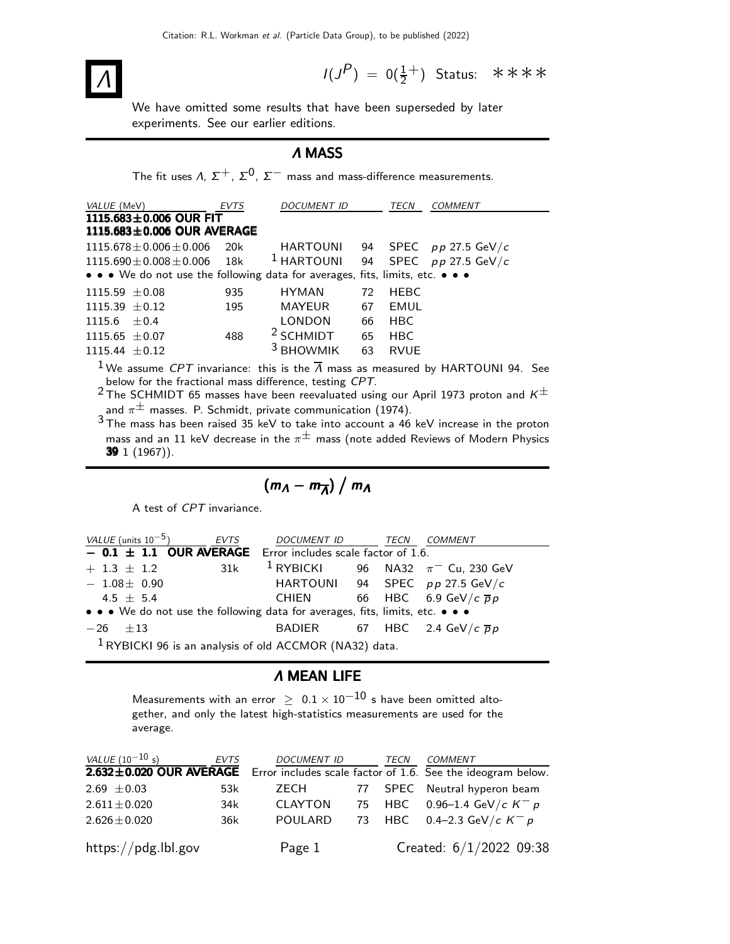# Λ

 $I(J^P) = 0(\frac{1}{2}^+)$  Status: \*\*\*\*

We have omitted some results that have been superseded by later experiments. See our earlier editions.

## Λ MASS

The fit uses  $\Lambda$ ,  $\Sigma^+$ ,  $\Sigma^0$ ,  $\Sigma^-$  mass and mass-difference measurements.

| VALUE (MeV)                                                                   | EVTS | <b>DOCUMENT ID</b>   |    | TECN        | <b>COMMENT</b>                                                                                                      |  |
|-------------------------------------------------------------------------------|------|----------------------|----|-------------|---------------------------------------------------------------------------------------------------------------------|--|
| 1115.683 $\pm$ 0.006 OUR FIT                                                  |      |                      |    |             |                                                                                                                     |  |
| 1115.683 $\pm$ 0.006 OUR AVERAGE                                              |      |                      |    |             |                                                                                                                     |  |
| $1115.678 \pm 0.006 \pm 0.006$                                                | 20k  |                      |    |             | HARTOUNI 94 SPEC $pp 27.5 \text{ GeV}/c$                                                                            |  |
| $1115.690 \pm 0.008 \pm 0.006$ 18k                                            |      |                      |    |             | <sup>1</sup> HARTOUNI 94 SPEC $pp 27.5 \text{ GeV}/c$                                                               |  |
| • • • We do not use the following data for averages, fits, limits, etc. • • • |      |                      |    |             |                                                                                                                     |  |
| $1115.59 \pm 0.08$                                                            | 935  | HYMAN                | 72 | HEBC        |                                                                                                                     |  |
| $1115.39 \pm 0.12$                                                            | 195  | MAYEUR               | 67 | EMUL        |                                                                                                                     |  |
| $1115.6 \pm 0.4$                                                              |      | LONDON               | 66 | <b>HBC</b>  |                                                                                                                     |  |
| 1115.65 $\pm$ 0.07                                                            | 488  | $2$ SCHMIDT 65       |    | <b>HBC</b>  |                                                                                                                     |  |
| $1115.44 \pm 0.12$                                                            |      | <sup>3</sup> BHOWMIK | 63 | <b>RVUE</b> |                                                                                                                     |  |
|                                                                               |      |                      |    |             | <sup>1</sup> We assume <i>CPT</i> invariance: this is the $\overline{\Lambda}$ mass as measured by HARTOUNI 94. See |  |

below for the fractional mass difference, testing CPT.

<sup>2</sup> The SCHMIDT 65 masses have been reevaluated using our April 1973 proton and  $K^{\pm}$ and  $\pi^{\pm}$  masses. P. Schmidt, private communication (1974).

 $3$  The mass has been raised 35 keV to take into account a 46 keV increase in the proton mass and an 11 keV decrease in the  $\pi^{\pm}$  mass (note added Reviews of Modern Physics 39 1 (1967)).

$$
(m_A - m_{\overline{A}}) / m_A
$$

A test of CPT invariance.

| VALUE (units $10^{-5}$ )                                                      | <b>EVTS</b> | <i>DOCUMENT ID</i> | <b>TECN</b> | <i>COMMENT</i>                                              |
|-------------------------------------------------------------------------------|-------------|--------------------|-------------|-------------------------------------------------------------|
| $-$ 0.1 $\pm$ 1.1 OUR AVERAGE Error includes scale factor of 1.6.             |             |                    |             |                                                             |
| $+ 1.3 \pm 1.2$                                                               | 31k         |                    |             | <sup>1</sup> RYBICKI 96 NA32 $\pi$ <sup>-</sup> Cu, 230 GeV |
| $-1.08\pm 0.90$                                                               |             |                    |             | HARTOUNI 94 SPEC pp 27.5 GeV/c                              |
| $4.5 + 5.4$                                                                   |             | CHIEN              |             | 66 HBC 6.9 GeV/c $\overline{p}p$                            |
| • • • We do not use the following data for averages, fits, limits, etc. • • • |             |                    |             |                                                             |
| $-26 + 13$                                                                    |             |                    |             | BADIER 67 HBC 2.4 GeV/c $\overline{p}p$                     |
| $1$ RYBICKI 96 is an analysis of old ACCMOR (NA32) data.                      |             |                    |             |                                                             |

#### Λ MEAN LIFE

Measurements with an error  $\geq 0.1 \times 10^{-10}$  s have been omitted altogether, and only the latest high-statistics measurements are used for the average.

| <i>VALUE</i> (10 <sup>-10</sup> s) | EVTS | <i>DOCUMENT ID</i> | TECN | <b>COMMENT</b>                                                                      |
|------------------------------------|------|--------------------|------|-------------------------------------------------------------------------------------|
|                                    |      |                    |      | 2.632±0.020 OUR AVERAGE Error includes scale factor of 1.6. See the ideogram below. |
| 2.69 $\pm$ 0.03                    | 53k  | ZECH               |      | 77 SPEC Neutral hyperon beam                                                        |
| $2.611 \pm 0.020$                  | 34k  | CLAYTON            |      | 75 HBC 0.96-1.4 GeV/c $K^- p$                                                       |
| $2.626 \pm 0.020$                  | 36k  | <b>POULARD</b>     |      | 73 HBC 0.4-2.3 GeV/c $K^- p$                                                        |
| https://pdg.lbl.gov                |      | Page 1             |      | Created: 6/1/2022 09:38                                                             |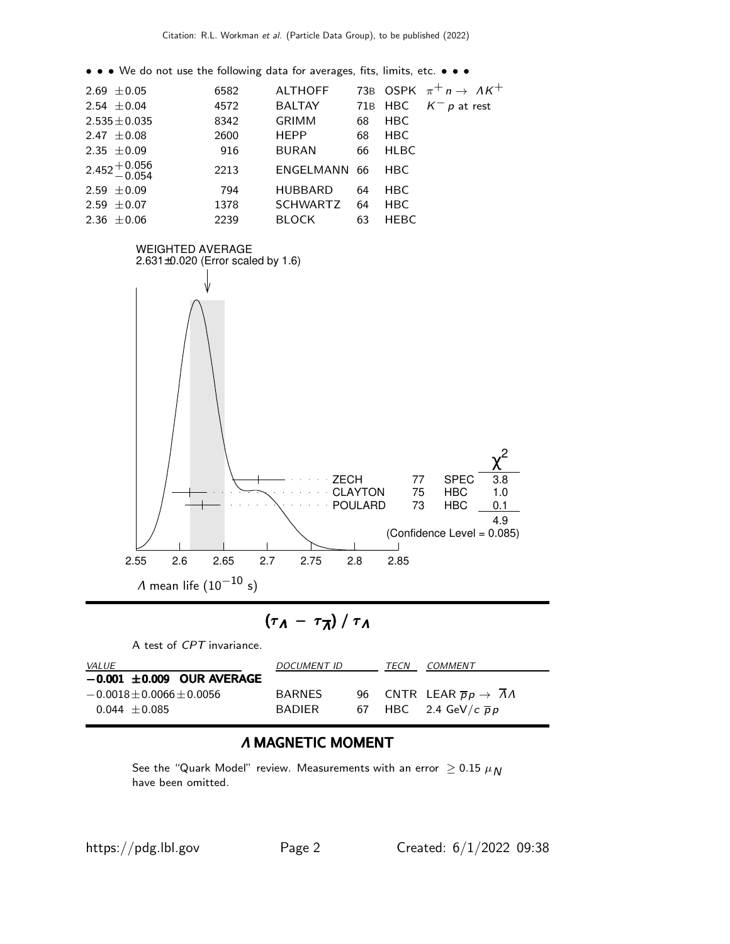• • • We do not use the following data for averages, fits, limits, etc. • • •

| $2.69 \pm 0.05$           | 6582 | <b>ALTHOFF</b>  |    |             | 73B OSPK $\pi^+ n \to \Lambda K^+$ |
|---------------------------|------|-----------------|----|-------------|------------------------------------|
| 2.54 $\pm$ 0.04           | 4572 | <b>BALTAY</b>   |    |             | 71B HBC $K^- p$ at rest            |
| $2.535 \pm 0.035$         | 8342 | <b>GRIMM</b>    | 68 | <b>HBC</b>  |                                    |
| 2.47 $\pm$ 0.08           | 2600 | <b>HEPP</b>     | 68 | <b>HBC</b>  |                                    |
| 2.35 $\pm 0.09$           | 916  | <b>BURAN</b>    | 66 | <b>HLBC</b> |                                    |
| $2.452 + 0.056$<br>-0.054 | 2213 | ENGELMANN 66    |    | <b>HBC</b>  |                                    |
| 2.59 $\pm 0.09$           | 794  | <b>HUBBARD</b>  | 64 | <b>HBC</b>  |                                    |
| 2.59 $\pm$ 0.07           | 1378 | <b>SCHWARTZ</b> | 64 | <b>HBC</b>  |                                    |
| 2.36 $\pm 0.06$           | 2239 | <b>BLOCK</b>    | 63 | <b>HEBC</b> |                                    |
|                           |      |                 |    |             |                                    |



$$
(\tau_A - \tau_{\overline{A}})/\tau_A
$$

A test of CPT invariance.

| <i>VALUE</i>                    | <b>DOCUMENT ID</b> | <i>TECN</i> | COMMENT                                     |
|---------------------------------|--------------------|-------------|---------------------------------------------|
| $-0.001 \pm 0.009$ OUR AVERAGE  |                    |             |                                             |
| $-0.0018 \pm 0.0066 \pm 0.0056$ | <b>BARNES</b>      |             | 96 CNTR LEAR $\overline{p}p \rightarrow AA$ |
| $0.044 + 0.085$                 | <b>BADIER</b>      |             | 67 HBC 2.4 GeV/ $c\bar{p}p$                 |

# Λ MAGNETIC MOMENT

See the "Quark Model" review. Measurements with an error  $\geq 0.15 \ \mu_N$ have been omitted.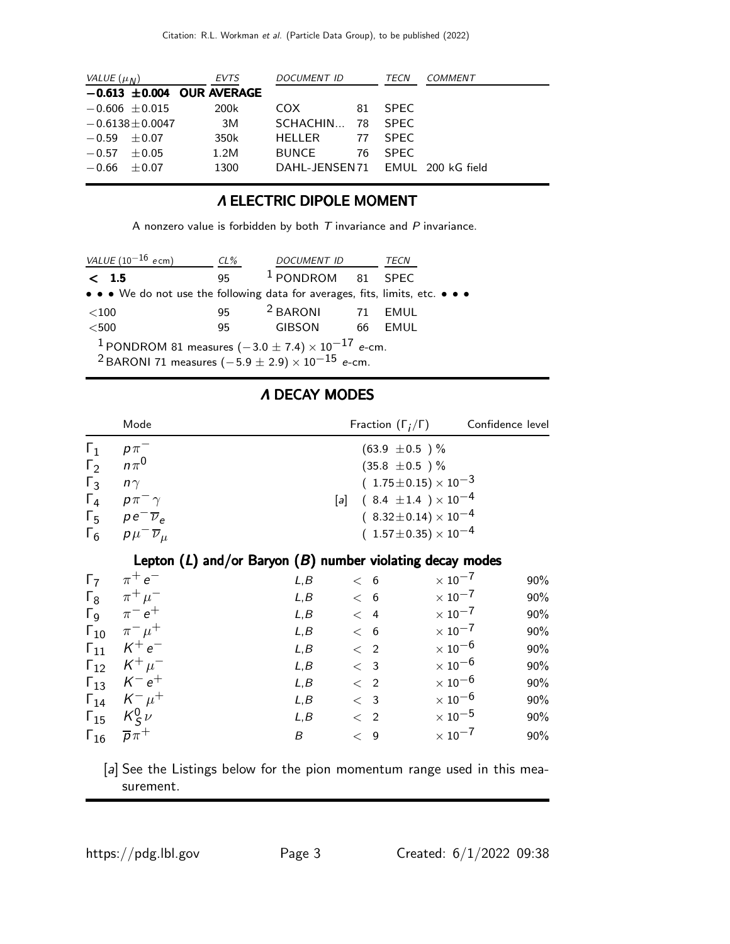| VALUE $(\mu_N)$      | <b>EVTS</b>                    | DOCUMENT ID                      |     | TECN        | COMMENT |
|----------------------|--------------------------------|----------------------------------|-----|-------------|---------|
|                      | $-0.613 \pm 0.004$ OUR AVERAGE |                                  |     |             |         |
| $-0.606 \pm 0.015$   | 200k                           | COX.                             | 81. | SPFC.       |         |
| $-0.6138 \pm 0.0047$ | 3M                             | SCHACHIN                         | -78 | SPFC        |         |
| $-0.59 \pm 0.07$     | 350k                           | HELLER                           | 77  | SPFC.       |         |
| $-0.57 \pm 0.05$     | 1.2M                           | <b>BUNCE</b>                     | 76  | <b>SPFC</b> |         |
| $-0.66 \pm 0.07$     | 1300                           | DAHL-JENSEN 71 EMUL 200 kG field |     |             |         |

### Λ ELECTRIC DIPOLE MOMENT

A nonzero value is forbidden by both  $T$  invariance and  $P$  invariance.

| VALUE $(10^{-16}$ ecm)                                                                                                                            | $CL\%$ | <b>DOCUMENT ID</b>           |      | TECN |
|---------------------------------------------------------------------------------------------------------------------------------------------------|--------|------------------------------|------|------|
| < 1.5                                                                                                                                             | 95     | <sup>1</sup> PONDROM 81 SPEC |      |      |
| • • • We do not use the following data for averages, fits, limits, etc. • • •                                                                     |        |                              |      |      |
| ${<}100$                                                                                                                                          | 95     | <sup>2</sup> BARONI          | 71   | EMUL |
| $<$ 500                                                                                                                                           | 95.    | <b>GIBSON</b>                | - 66 | EMUL |
| <sup>1</sup> PONDROM 81 measures $(-3.0 \pm 7.4) \times 10^{-17}$ e-cm.<br><sup>2</sup> BARONI 71 measures $(-5.9 \pm 2.9) \times 10^{-15}$ e-cm. |        |                              |      |      |

# Λ DECAY MODES

|                                                                                  | Mode                                                                                                              |      | Fraction $(\Gamma_i/\Gamma)$                                  |                                                                                                                                            | Confidence level |     |
|----------------------------------------------------------------------------------|-------------------------------------------------------------------------------------------------------------------|------|---------------------------------------------------------------|--------------------------------------------------------------------------------------------------------------------------------------------|------------------|-----|
| $\Gamma_1$<br>$\Gamma_2$<br>$\Gamma_3$<br>$\Gamma_4$<br>$\Gamma_5$<br>$\Gamma_6$ | $p\pi^-$<br>$n\pi^0$<br>$n\gamma$<br>$p\pi^-\gamma$<br>$pe^{-\overline{\nu}_e}$<br>$p\mu^{-}\overline{\nu}_{\mu}$ |      | $(63.9 \pm 0.5)$ %<br>$(35.8 \pm 0.5)$ %<br>$\lceil a \rceil$ | $(1.75 \pm 0.15) \times 10^{-3}$<br>$(8.4 \pm 1.4) \times 10^{-4}$<br>$(8.32 \pm 0.14) \times 10^{-4}$<br>$(1.57 \pm 0.35) \times 10^{-4}$ |                  |     |
|                                                                                  | Lepton $(L)$ and/or Baryon $(B)$ number violating decay modes                                                     |      |                                                               |                                                                                                                                            |                  |     |
| $\Gamma_7$                                                                       | $\pi^+e^-$                                                                                                        | L, B | < 6                                                           | $\times$ 10 <sup>-7</sup>                                                                                                                  |                  | 90% |
| $\Gamma_8$                                                                       | $\pi^+ \mu^-$                                                                                                     | L,B  | < 6                                                           | $\times$ 10 <sup>-7</sup>                                                                                                                  |                  | 90% |
| $\Gamma_{\mathsf{Q}}$                                                            | $\pi^-e^+$                                                                                                        | L, B | $\overline{4}$<br>$\lt$                                       | $\times$ 10 <sup>-7</sup>                                                                                                                  |                  | 90% |
|                                                                                  | $\Gamma_{10}$ $\pi^{-}$ $\mu^{+}$                                                                                 | L, B | < 6                                                           | $\times$ 10 <sup>-7</sup>                                                                                                                  |                  | 90% |
|                                                                                  | $\Gamma_{11}$ $K^+e^-$                                                                                            | L, B | $\langle$ 2                                                   | $\times$ 10 <sup>-6</sup>                                                                                                                  |                  | 90% |
|                                                                                  | $\Gamma_{12}$ $K^+ \mu^-$                                                                                         | L, B | < 3                                                           | $\times$ 10 <sup>-6</sup>                                                                                                                  |                  | 90% |
|                                                                                  | $\Gamma_{13}$ $K^-e^+$                                                                                            | L, B | $\langle$ 2                                                   | $\times$ 10 <sup>-6</sup>                                                                                                                  |                  | 90% |
|                                                                                  | $\Gamma_{14}$ $K^ \mu^+$                                                                                          | L, B | < 3                                                           | $\times$ 10 $^{-6}$                                                                                                                        |                  | 90% |
|                                                                                  | $\Gamma_{15}$ $K_S^0 \nu$                                                                                         | L, B | $\langle$ 2                                                   | $\times$ 10 $^{-5}$                                                                                                                        |                  | 90% |
| $\Gamma_{16}$                                                                    | $\overline{p}\pi^+$                                                                                               | B    | 9<br>$\lt$                                                    | $\times$ 10 <sup>-7</sup>                                                                                                                  |                  | 90% |

[a] See the Listings below for the pion momentum range used in this measurement.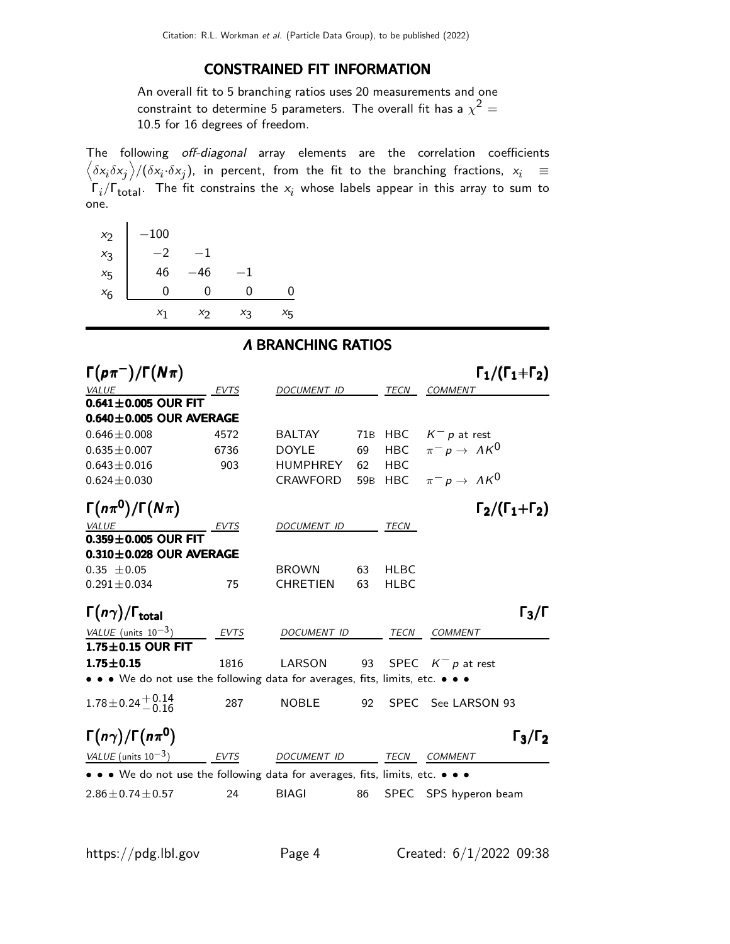#### CONSTRAINED FIT INFORMATION

An overall fit to 5 branching ratios uses 20 measurements and one constraint to determine 5 parameters. The overall fit has a  $\chi^2 =$ 10.5 for 16 degrees of freedom.

The following off-diagonal array elements are the correlation coefficients  $\left<\delta x_i\delta x_j\right>$ / $(\delta x_i\cdot\delta x_j)$ , in percent, from the fit to the branching fractions,  $x_i$   $\;\equiv$  $\Gamma_i/\Gamma_{\rm total}$ . The fit constrains the  $x_i$  whose labels appear in this array to sum to one.

| $x_2$   | $-100$ |       |       |         |
|---------|--------|-------|-------|---------|
| $x_3$   | -2     |       |       |         |
| $x_{5}$ | 46     | 46    | - 1   |         |
| $x_6$   | 0      | 0     | 0     | ი       |
|         | $x_1$  | $x_2$ | $X_3$ | $x_{5}$ |

#### Λ BRANCHING RATIOS

| $\Gamma(p\pi^-)/\Gamma(N\pi)$                                                                                                        |             |                    |                 |             | $\Gamma_1/(\Gamma_1+\Gamma_2)$ |
|--------------------------------------------------------------------------------------------------------------------------------------|-------------|--------------------|-----------------|-------------|--------------------------------|
| <b>VALUE</b>                                                                                                                         | <b>EVTS</b> | <b>DOCUMENT ID</b> |                 | <b>TECN</b> | <b>COMMENT</b>                 |
| $0.641 \pm 0.005$ OUR FIT                                                                                                            |             |                    |                 |             |                                |
| $0.640 \pm 0.005$ OUR AVERAGE                                                                                                        |             |                    |                 |             |                                |
| $0.646 \pm 0.008$                                                                                                                    | 4572        | <b>BALTAY</b>      | 71B             | HBC         | $K^- p$ at rest                |
| $0.635 \pm 0.007$                                                                                                                    | 6736        | <b>DOYLE</b>       | 69              | <b>HBC</b>  | $\pi^- p \to \Lambda K^0$      |
| $0.643 \pm 0.016$                                                                                                                    | 903         | <b>HUMPHREY</b>    | 62              | <b>HBC</b>  |                                |
| $0.624 \pm 0.030$                                                                                                                    |             | <b>CRAWFORD</b>    | 59 <sub>B</sub> | <b>HBC</b>  | $\pi^- p \to \Lambda K^0$      |
| $\Gamma(n\pi^0)/\Gamma(N\pi)$                                                                                                        |             |                    |                 |             | $\Gamma_2/(\Gamma_1+\Gamma_2)$ |
| VALUE                                                                                                                                | EVTS        | <b>DOCUMENT ID</b> |                 | TECN        |                                |
| $0.359 \pm 0.005$ OUR FIT                                                                                                            |             |                    |                 |             |                                |
| $0.310 \pm 0.028$ OUR AVERAGE                                                                                                        |             |                    |                 |             |                                |
| $0.35 \pm 0.05$                                                                                                                      |             | <b>BROWN</b>       | 63              | <b>HLBC</b> |                                |
| $0.291 \pm 0.034$                                                                                                                    | 75          | <b>CHRETIEN</b>    | 63              | <b>HLBC</b> |                                |
| $\Gamma(n\gamma)/\Gamma_{\rm total}$                                                                                                 |             |                    |                 |             | $\Gamma_3/\Gamma$              |
| VALUE (units $10^{-3}$ )                                                                                                             | EVTS        | <b>DOCUMENT ID</b> |                 | <b>TECN</b> | <b>COMMENT</b>                 |
| $1.75 \pm 0.15$ OUR FIT                                                                                                              |             |                    |                 |             |                                |
| $1.75 \pm 0.15$                                                                                                                      | 1816        | LARSON             | 93              |             | SPEC $K^- p$ at rest           |
| $\bullet\,\bullet\,\bullet\,$ We do not use the following data for averages, fits, limits, etc. $\bullet\,\bullet\,\bullet\,\bullet$ |             |                    |                 |             |                                |
| $1.78 \pm 0.24 \pm 0.14$                                                                                                             | 287         | <b>NOBLE</b>       | 92              |             | SPEC See LARSON 93             |
| $\Gamma(n\gamma)/\Gamma(n\pi^0)$                                                                                                     |             |                    |                 |             | $\Gamma_3/\Gamma_2$            |
| VALUE (units $10^{-3}$ )                                                                                                             | EVTS        | <b>DOCUMENT ID</b> |                 | <b>TECN</b> | COMMENT                        |
| • • • We do not use the following data for averages, fits, limits, etc. • • •                                                        |             |                    |                 |             |                                |
| $2.86 \pm 0.74 \pm 0.57$                                                                                                             | 24          | <b>BIAGI</b>       | 86              |             | SPEC SPS hyperon beam          |
|                                                                                                                                      |             |                    |                 |             |                                |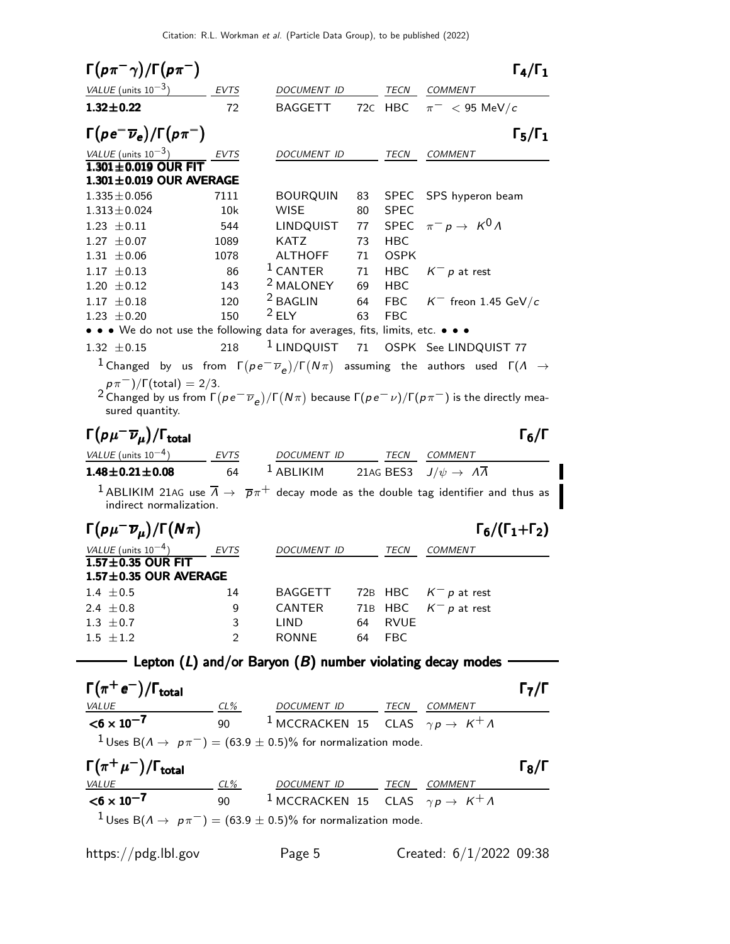| $\Gamma(p\pi^{-}\gamma)/\Gamma(p\pi^{-})$                                                                                                                                                                |                |                                                                                                                        |          |                          |                                              | $\Gamma_4/\Gamma_1$            |
|----------------------------------------------------------------------------------------------------------------------------------------------------------------------------------------------------------|----------------|------------------------------------------------------------------------------------------------------------------------|----------|--------------------------|----------------------------------------------|--------------------------------|
| $VALUE$ (units $10^{-3}$ ) EVTS                                                                                                                                                                          |                | DOCUMENT ID                                                                                                            |          | TECN                     | COMMENT                                      |                                |
| $1.32 \pm 0.22$                                                                                                                                                                                          | 72             | <b>BAGGETT</b>                                                                                                         |          | 72C HBC                  | $\pi^-$ < 95 MeV/c                           |                                |
| $\Gamma(p e^- \overline{\nu}_e)/\Gamma(p \pi^-)$                                                                                                                                                         |                |                                                                                                                        |          |                          |                                              | $\Gamma_5/\Gamma_1$            |
| $\frac{VALUE \text{ (units 10}^{-3})}{1.301 \pm 0.019 \text{ OUR FIT}}$ EVTS                                                                                                                             |                | DOCUMENT ID                                                                                                            |          | <b>TECN</b>              | <b>COMMENT</b>                               |                                |
|                                                                                                                                                                                                          |                |                                                                                                                        |          |                          |                                              |                                |
| $1.301 \pm 0.019$ OUR AVERAGE                                                                                                                                                                            |                |                                                                                                                        |          |                          |                                              |                                |
| $1.335 \pm 0.056$                                                                                                                                                                                        | 7111           | <b>BOURQUIN</b>                                                                                                        | 83       | SPEC                     | SPS hyperon beam                             |                                |
| $1.313 \pm 0.024$                                                                                                                                                                                        | 10k            | <b>WISE</b>                                                                                                            | 80       | <b>SPEC</b>              |                                              |                                |
| $1.23 \pm 0.11$                                                                                                                                                                                          | 544            | <b>LINDQUIST</b>                                                                                                       | 77       |                          | SPEC $\pi^- p \to K^0 \Lambda$               |                                |
| $1.27 \pm 0.07$                                                                                                                                                                                          | 1089           | <b>KATZ</b>                                                                                                            | 73       | <b>HBC</b>               |                                              |                                |
| $1.31 \pm 0.06$                                                                                                                                                                                          | 1078           | ALTHOFF<br>$1$ CANTER                                                                                                  | 71       | <b>OSPK</b>              |                                              |                                |
| $1.17 \pm 0.13$                                                                                                                                                                                          | 86<br>143      | <sup>2</sup> MALONEY                                                                                                   | 71<br>69 | <b>HBC</b><br><b>HBC</b> | $K^- p$ at rest                              |                                |
| $1.20 \pm 0.12$<br>$1.17 \pm 0.18$                                                                                                                                                                       | 120            | $2$ BAGLIN                                                                                                             | 64       | <b>FBC</b>               |                                              |                                |
| $1.23 \pm 0.20$                                                                                                                                                                                          | 150            | $2$ FIY                                                                                                                | 63       | <b>FBC</b>               | $K^-$ freon 1.45 GeV/c                       |                                |
| • • We do not use the following data for averages, fits, limits, etc. • • •                                                                                                                              |                |                                                                                                                        |          |                          |                                              |                                |
| $1.32 \pm 0.15$                                                                                                                                                                                          | 218            | $1$ LINDQUIST                                                                                                          | 71       |                          | OSPK See LINDQUIST 77                        |                                |
| $^1$ Changed by us from $\Gamma (p \, e^- \overline{\nu}_{\rho})/\Gamma (N \pi)$ assuming the authors used $\Gamma (\Lambda \rightarrow$                                                                 |                |                                                                                                                        |          |                          |                                              |                                |
| $p\pi^{-}$ )/ $\Gamma$ (total) = 2/3.<br>$^2$ Changed by us from $\Gamma(\rho e^-\overline{\nu}_e)/\Gamma(N\pi)$ because $\Gamma(\rho e^-\nu)/\Gamma(\rho\pi^-)$ is the directly mea-<br>sured quantity. |                |                                                                                                                        |          |                          |                                              |                                |
| $\Gamma(\rho\mu^-\overline{\nu}_\mu)/\Gamma_{\rm total}$                                                                                                                                                 |                |                                                                                                                        |          |                          |                                              | $\Gamma_6/\Gamma$              |
| VALUE (units $10^{-4}$ )                                                                                                                                                                                 | EVTS           | DOCUMENT ID                                                                                                            |          |                          | TECN COMMENT                                 |                                |
| $1.48 \pm 0.21 \pm 0.08$                                                                                                                                                                                 | 64             | $1$ ABLIKIM                                                                                                            |          |                          | 21AG BES3 $J/\psi \rightarrow A\overline{A}$ |                                |
| $^1$ ABLIKIM 21AG use $\overline{\Lambda} \rightarrow \overline{\rho}\pi^+$ decay mode as the double tag identifier and thus as<br>indirect normalization.                                               |                |                                                                                                                        |          |                          |                                              |                                |
| $\Gamma(p\mu^-\overline{\nu}_\mu)/\Gamma(N\pi)$                                                                                                                                                          |                |                                                                                                                        |          |                          |                                              | $\Gamma_6/(\Gamma_1+\Gamma_2)$ |
| VALUE (units $10^{-4}$ )                                                                                                                                                                                 | EVTS           | <i>DOCUMENT ID</i>                                                                                                     |          | TECN                     | <b>COMMENT</b>                               |                                |
| $1.57 \pm 0.35$ OUR FIT<br>1.57±0.35 OUR AVERAGE                                                                                                                                                         |                |                                                                                                                        |          |                          |                                              |                                |
| $1.4 \pm 0.5$                                                                                                                                                                                            | 14             | BAGGETT 72B HBC $K^- p$ at rest                                                                                        |          |                          |                                              |                                |
| 2.4 $\pm 0.8$                                                                                                                                                                                            | 9              | CANTER                                                                                                                 |          |                          | 71B HBC $K^- p$ at rest                      |                                |
| 1.3 $\pm$ 0.7                                                                                                                                                                                            | 3              | <b>LIND</b>                                                                                                            | 64       | <b>RVUE</b>              |                                              |                                |
| $1.5\ \pm1.2$                                                                                                                                                                                            | $\overline{2}$ | <b>RONNE</b>                                                                                                           | 64       | <b>FBC</b>               |                                              |                                |
|                                                                                                                                                                                                          |                | $-$ Lepton (L) and/or Baryon (B) number violating decay modes                                                          |          |                          |                                              |                                |
| $\Gamma(\pi^+e^-)/\Gamma_{\rm total}$                                                                                                                                                                    |                |                                                                                                                        |          |                          |                                              | $\Gamma_7/\Gamma$              |
|                                                                                                                                                                                                          |                |                                                                                                                        |          |                          |                                              |                                |
| VALUE $\frac{CL\%}{50 \times 10^{-7}}$ $\frac{CL\%}{90}$ $\frac{DOCUMENT \quad ID}{1 \text{ MCCRACKEN} \quad 15 \quad CLAS}$ $\gamma p \rightarrow K^+ \Lambda$                                          |                |                                                                                                                        |          |                          |                                              |                                |
|                                                                                                                                                                                                          |                |                                                                                                                        |          |                          |                                              |                                |
|                                                                                                                                                                                                          |                |                                                                                                                        |          |                          |                                              |                                |
| <sup>1</sup> Uses B( $\Lambda \rightarrow p\pi^-$ ) = (63.9 ± 0.5)% for normalization mode.                                                                                                              |                |                                                                                                                        |          |                          |                                              |                                |
| $\Gamma(\pi^+\mu^-)/\Gamma_{\rm total}$                                                                                                                                                                  |                |                                                                                                                        |          |                          |                                              | $\Gamma_8/\Gamma$              |
|                                                                                                                                                                                                          |                |                                                                                                                        |          |                          |                                              |                                |
| $\frac{VALUE}{< 6 \times 10^{-7}}$                                                                                                                                                                       |                |                                                                                                                        |          |                          |                                              |                                |
| <sup>1</sup> Uses B( $\Lambda \rightarrow p\pi^-$ ) = (63.9 ± 0.5)% for normalization mode.                                                                                                              |                | $\frac{CL\%}{90}$ $\frac{DOCUMENT ID}{1 MCCRACKEN 15}$ $\frac{TECN}{CLAS}$ $\frac{COMMENT}{\gamma p \rightarrow K^+A}$ |          |                          |                                              |                                |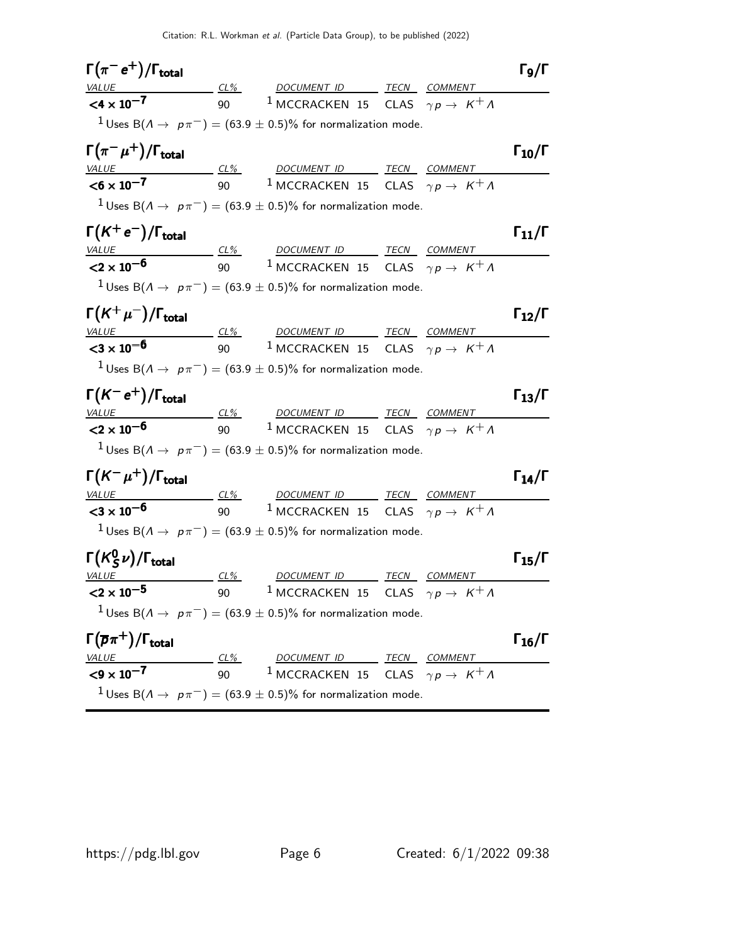| $\Gamma(\pi^- e^+) / \Gamma_{\text{total}}$       |        |                                                                                                                                                                                                             |                | $\Gamma_9/\Gamma$    |
|---------------------------------------------------|--------|-------------------------------------------------------------------------------------------------------------------------------------------------------------------------------------------------------------|----------------|----------------------|
|                                                   |        |                                                                                                                                                                                                             |                |                      |
|                                                   |        | VALUE $\frac{CL\%}{90}$ 1 MCCRACKEN 15 CLAS $\gamma p \rightarrow K^+ \Lambda$                                                                                                                              |                |                      |
|                                                   |        | $1$ Uses B( $A \rightarrow p\pi^-$ ) = (63.9 $\pm$ 0.5)% for normalization mode.                                                                                                                            |                |                      |
| $\Gamma(\pi^{-}\mu^{+})/\Gamma_{\text{total}}$    |        |                                                                                                                                                                                                             |                | $\Gamma_{10}/\Gamma$ |
|                                                   |        | VALUE $\underbrace{C1\%}_{00}$ $\underbrace{DOCUMENT \quad ID}_{1 \text{ MCCRACKEN} \quad 15}$ $\underbrace{TECN}_{CIMMENT}$ $\underbrace{COMMENT}_{N+10}$                                                  |                |                      |
|                                                   |        |                                                                                                                                                                                                             |                |                      |
|                                                   |        | <sup>1</sup> Uses B( $\Lambda \rightarrow p\pi^-$ ) = (63.9 ± 0.5)% for normalization mode.                                                                                                                 |                |                      |
| $\Gamma(K^+e^-)/\Gamma_{\rm total}$               |        |                                                                                                                                                                                                             |                | $\Gamma_{11}/\Gamma$ |
|                                                   |        | $\frac{VALUE}{2 \times 10^{-6}}$ $\frac{CL\%}{90}$ $\frac{DOCUMENTID}{NCCRACKEN}$ $\frac{TECN}{15}$ $\frac{COMMENT}{CLAS}$ $\gamma p \rightarrow K^+ \Lambda$                                               |                |                      |
|                                                   |        |                                                                                                                                                                                                             |                |                      |
|                                                   |        | <sup>1</sup> Uses B( $\Lambda \rightarrow p\pi^-$ ) = (63.9 $\pm$ 0.5)% for normalization mode.                                                                                                             |                |                      |
| $\Gamma(K^+\mu^-)/\Gamma_{\rm total}$             |        |                                                                                                                                                                                                             |                | $\Gamma_{12}/\Gamma$ |
|                                                   |        | VALUE CL% DOCUMENT ID TECN COMMENT                                                                                                                                                                          |                |                      |
| ${<}3 \times 10^{-6}$                             |        | 90 $^{-1}$ MCCRACKEN 15 CLAS $\gamma p \rightarrow \ K^{+} \Lambda$                                                                                                                                         |                |                      |
|                                                   |        | <sup>1</sup> Uses B( $\Lambda \rightarrow$ $p\pi$ <sup>-</sup> ) = (63.9 $\pm$ 0.5)% for normalization mode.                                                                                                |                |                      |
| $\Gamma(K^-e^+)/\Gamma_{\text{total}}$            |        |                                                                                                                                                                                                             |                | $\Gamma_{13}/\Gamma$ |
|                                                   |        | VALUE $\underbrace{C2 \times 10^{-6}}$ $\underbrace{C1\%}_{90}$ $\underbrace{DOCUMENT \quad ID}{1 \text{ MCCRACKEN} \quad 15}$ $\underbrace{TECN}{CLAS}$ $\underbrace{COMMENT}{\gamma p \rightarrow K^+ A}$ |                |                      |
|                                                   |        |                                                                                                                                                                                                             |                |                      |
|                                                   |        | $1$ Uses B( $\Lambda \rightarrow$ $p\pi^-)=(63.9\pm0.5)\%$ for normalization mode.                                                                                                                          |                |                      |
| $\Gamma(K^-\mu^+)/\Gamma_{\rm total}$             |        |                                                                                                                                                                                                             |                | $\Gamma_{14}/\Gamma$ |
| <u>VALUE</u>                                      |        | $\frac{CL\%}{90}$ $\frac{DOCUMENT ID}{1}$ $\frac{TECN}{CLAS}$ $\frac{COMMENT}{\gamma p \rightarrow K^+A}$                                                                                                   |                |                      |
| $<$ 3 $\times$ 10 <sup>-6</sup>                   |        |                                                                                                                                                                                                             |                |                      |
|                                                   |        | <sup>1</sup> Uses B( $\Lambda \rightarrow p\pi^-$ ) = (63.9 $\pm$ 0.5)% for normalization mode.                                                                                                             |                |                      |
| $\Gamma(K_S^0 \nu)/\Gamma_{\rm total}$            |        |                                                                                                                                                                                                             |                | $\Gamma_{15}/\Gamma$ |
| <i>VALUE</i>                                      | $CL\%$ | <b>DOCUMENT ID</b>                                                                                                                                                                                          | TECN COMMENT   |                      |
| $<$ 2 $\times$ 10 <sup>-5</sup><br>$\sim$ 90      |        | <sup>1</sup> MCCRACKEN 15 CLAS $\gamma p \to K^+ \Lambda$                                                                                                                                                   |                |                      |
|                                                   |        | <sup>1</sup> Uses B( $\Lambda \rightarrow p\pi^-$ ) = (63.9 $\pm$ 0.5)% for normalization mode.                                                                                                             |                |                      |
| $\Gamma(\overline{\rho}\pi^+)/\Gamma_{\rm total}$ |        |                                                                                                                                                                                                             |                | $\Gamma_{16}/\Gamma$ |
| <b>VALUE</b>                                      | CL%    | DOCUMENT ID TECN                                                                                                                                                                                            | <b>COMMENT</b> |                      |
| $<$ 9 $\times$ 10 <sup>-7</sup>                   | 90     | $^{-1}$ MCCRACKEN 15 CLAS $\gamma p \to \ K^+ \Lambda$                                                                                                                                                      |                |                      |
|                                                   |        | $1$ Uses B( $\Lambda \rightarrow$ $\mu \pi^-$ ) = (63.9 $\pm$ 0.5)% for normalization mode.                                                                                                                 |                |                      |
|                                                   |        |                                                                                                                                                                                                             |                |                      |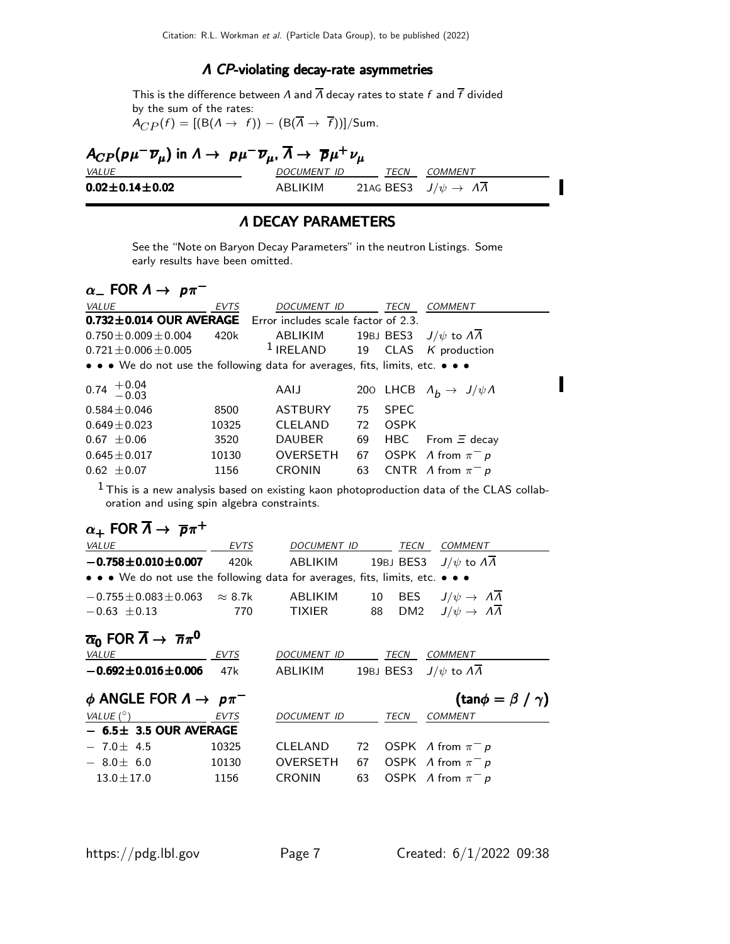#### Λ CP-violating decay-rate asymmetries

This is the difference between  $\Lambda$  and  $\overline{\Lambda}$  decay rates to state f and  $\overline{f}$  divided by the sum of the rates:

 $A_{CP}(f) = [(B(\Lambda \rightarrow f)) - (B(\overline{\Lambda} \rightarrow \overline{f}))]/Sum.$ 

| $A_{CP}(\rho\mu^{-}\overline{\nu}_{\mu})$ in $\Lambda \to \rho\mu^{-}\overline{\nu}_{\mu}$ , $\overline{\Lambda} \to \overline{\rho}\mu^{+}\nu_{\mu}$ |                    |      |                                   |  |  |  |
|-------------------------------------------------------------------------------------------------------------------------------------------------------|--------------------|------|-----------------------------------|--|--|--|
| <i>VALUE</i>                                                                                                                                          | <i>DOCUMENT ID</i> | TECN | <i>COMMENT</i>                    |  |  |  |
| $0.02 \pm 0.14 \pm 0.02$                                                                                                                              | ABLIKIM            |      | 21AG BES3 $J/\psi \rightarrow AA$ |  |  |  |

#### Λ DECAY PARAMETERS

See the "Note on Baryon Decay Parameters" in the neutron Listings. Some early results have been omitted.

# $\alpha_-$  FOR  $\Lambda \to p \pi^-$

| VALUE                                                                         | <b>EVTS</b> | <b>DOCUMENT ID</b> |    | TECN        | <b>COMMENT</b>                          |
|-------------------------------------------------------------------------------|-------------|--------------------|----|-------------|-----------------------------------------|
| 0.732±0.014 OUR AVERAGE Error includes scale factor of 2.3.                   |             |                    |    |             |                                         |
| $0.750 \pm 0.009 \pm 0.004$                                                   | 420k        | ABLIKIM            |    |             | 19BJ BES3 $J/\psi$ to $\Lambda\Lambda$  |
| $0.721 + 0.006 + 0.005$                                                       |             | $1$ IRELAND        |    |             | 19 CLAS K production                    |
| • • • We do not use the following data for averages, fits, limits, etc. • • • |             |                    |    |             |                                         |
| $0.74^{+0.04}_{-0.03}$                                                        |             | AAIJ               |    |             | 200 LHCB $\Lambda_b \to J/\psi \Lambda$ |
| $0.584 + 0.046$                                                               | 8500        | <b>ASTBURY</b>     | 75 | <b>SPFC</b> |                                         |
| $0.649 + 0.023$                                                               | 10325       | <b>CLELAND</b>     | 72 | <b>OSPK</b> |                                         |
| $0.67 + 0.06$                                                                 | 3520        | <b>DAUBER</b>      | 69 |             | HBC From $\Xi$ decay                    |
| $0.645 \pm 0.017$                                                             | 10130       | <b>OVERSETH</b>    | 67 |             | OSPK A from $\pi^- p$                   |
| $0.62 \pm 0.07$                                                               | 1156        | <b>CRONIN</b>      | 63 |             | CNTR A from $\pi^- p$                   |

 $1$  This is a new analysis based on existing kaon photoproduction data of the CLAS collaboration and using spin algebra constraints.

# $\alpha_+$  FOR  $\overline{\Lambda} \rightarrow \overline{p}\pi^+$

| EVTS                                           |                    |    | TECN        | <b>COMMENT</b>                                                                                                                                               |
|------------------------------------------------|--------------------|----|-------------|--------------------------------------------------------------------------------------------------------------------------------------------------------------|
| 420k                                           | ABLIKIM            |    |             | $J/\psi$ to $\Lambda\Lambda$                                                                                                                                 |
|                                                |                    |    |             |                                                                                                                                                              |
| $-0.755 \pm 0.083 \pm 0.063 \approx 8.7$ k     | <b>ABLIKIM</b>     |    | <b>BES</b>  | $J/\psi \rightarrow \Lambda \overline{\Lambda}$                                                                                                              |
| 770                                            | <b>TIXIER</b>      |    |             | DM2 $J/\psi \rightarrow \Lambda \overline{\Lambda}$                                                                                                          |
| EVTS                                           | DOCUMENT ID        |    | TECN        | <b>COMMENT</b>                                                                                                                                               |
| 47k                                            | ABLIKIM            |    |             |                                                                                                                                                              |
| $\phi$ ANGLE FOR $\Lambda \rightarrow p \pi^-$ |                    |    |             | (tan $\phi = \beta / \gamma$ )                                                                                                                               |
| EVTS                                           | <b>DOCUMENT ID</b> |    | <b>TECN</b> | <b>COMMENT</b>                                                                                                                                               |
| $-$ 6.5 $\pm$ 3.5 OUR AVERAGE                  |                    |    |             |                                                                                                                                                              |
| 10325                                          | <b>CLELAND</b>     | 72 |             | OSPK $\Lambda$ from $\pi^- p$                                                                                                                                |
| 10130                                          | <b>OVERSETH</b>    | 67 |             | OSPK $\Lambda$ from $\pi^- p$                                                                                                                                |
| 1156                                           | <b>CRONIN</b>      | 63 |             | OSPK A from $\pi^- p$                                                                                                                                        |
|                                                |                    |    | DOCUMENT ID | 19BJ BES3<br>• • • We do not use the following data for averages, fits, limits, etc. • • •<br>10<br>88<br>19BJ BES3 $J/\psi$ to $\Lambda \overline{\Lambda}$ |

I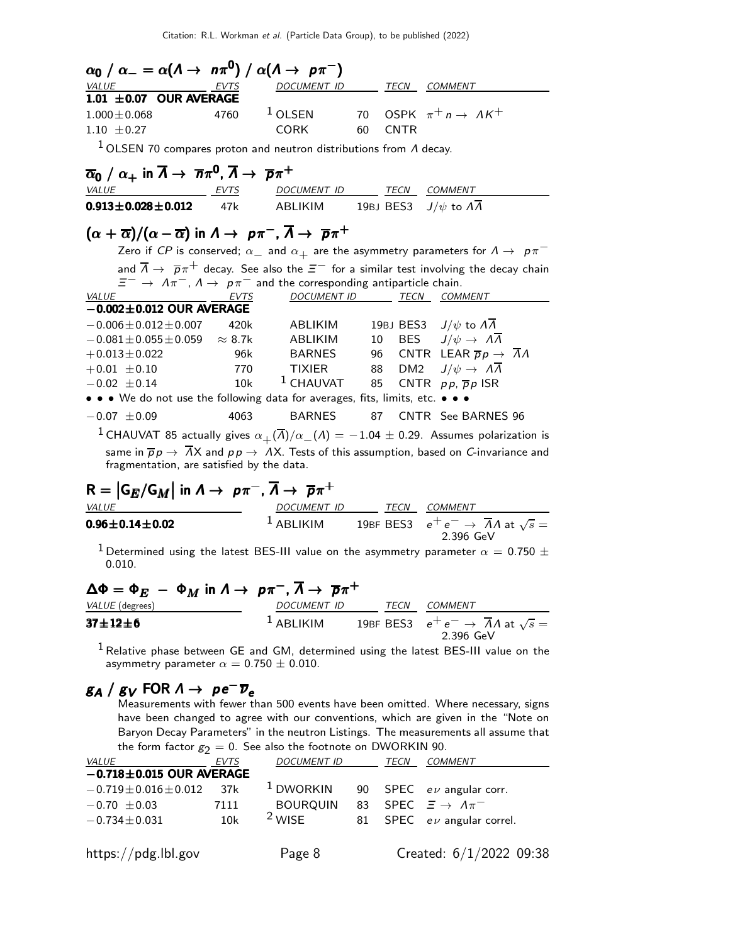| $\alpha_0 / \alpha_- = \alpha(\Lambda \to n\pi^0) / \alpha(\Lambda \to p\pi^-)$                                                      |                 |                          |    |             |                                                                                                                          |
|--------------------------------------------------------------------------------------------------------------------------------------|-----------------|--------------------------|----|-------------|--------------------------------------------------------------------------------------------------------------------------|
| VALUE                                                                                                                                | EVTS            | DOCUMENT ID              |    | TECN        | COMMENT                                                                                                                  |
| 1.01 $\pm$ 0.07 OUR AVERAGE                                                                                                          |                 |                          |    |             |                                                                                                                          |
| $1.000 \pm 0.068$                                                                                                                    | 4760            | $1$ OLSEN                |    |             | 70 OSPK $\pi^+ n \to \Lambda K^+$                                                                                        |
| $1.10 \pm 0.27$                                                                                                                      |                 | <b>CORK</b>              | 60 | <b>CNTR</b> |                                                                                                                          |
| $1$ OLSEN 70 compares proton and neutron distributions from $\Lambda$ decay.                                                         |                 |                          |    |             |                                                                                                                          |
| $\overline{\alpha}_0 / \alpha_+$ in $\overline{\Lambda} \to \overline{n}\pi^0$ , $\overline{\Lambda} \to \overline{p}\pi^+$          |                 |                          |    |             |                                                                                                                          |
| VALUE<br><b>EVTS</b>                                                                                                                 |                 | DOCUMENT ID TECN COMMENT |    |             |                                                                                                                          |
| $0.913 \pm 0.028 \pm 0.012$                                                                                                          | 47k             | ABLIKIM                  |    |             | 19BJ BES3 $J/\psi$ to $\Lambda \overline{\Lambda}$                                                                       |
| $(\alpha + \overline{\alpha})/(\alpha - \overline{\alpha})$ in $\Lambda \to p\pi^{-}$ , $\overline{\Lambda} \to \overline{p}\pi^{+}$ |                 |                          |    |             |                                                                                                                          |
|                                                                                                                                      |                 |                          |    |             | Zero if CP is conserved; $\alpha_-$ and $\alpha_+$ are the asymmetry parameters for $\Lambda \rightarrow~\rho \pi^-$     |
|                                                                                                                                      |                 |                          |    |             | and $\overline{\Lambda} \to \overline{p} \pi^+$ decay. See also the $\Xi^-$ for a similar test involving the decay chain |
| $\Xi^ \rightarrow$ $\Lambda \pi^-$ , $\Lambda \rightarrow$ $p \pi^-$ and the corresponding antiparticle chain.                       |                 |                          |    |             |                                                                                                                          |
| VALUE                                                                                                                                | EVTS            |                          |    |             | DOCUMENT ID TECN COMMENT                                                                                                 |
| $-0.002 \pm 0.012$ OUR AVERAGE                                                                                                       |                 |                          |    |             |                                                                                                                          |
| $-0.006\!\pm\!0.012\!\pm\!0.007$                                                                                                     | 420k            | ABLIKIM                  |    |             | 19BJ BES3 $J/\psi$ to $\Lambda \overline{\Lambda}$                                                                       |
| $-0.081 \pm 0.055 \pm 0.059$                                                                                                         | $\approx 8.7$ k | ABLIKIM                  | 10 |             | BES $J/\psi \rightarrow A\overline{A}$                                                                                   |
| $+0.013 \pm 0.022$                                                                                                                   | 96k l           | BARNES                   |    | 96          | CNTR LEAR $\overline{p}p \rightarrow \overline{A}A$                                                                      |
| $+0.01 \pm 0.10$                                                                                                                     | 770             | <b>TIXIER</b>            |    | 88<br>DM2   | $J/\psi \rightarrow \Lambda \overline{\Lambda}$                                                                          |
| $-0.02 \pm 0.14$                                                                                                                     | 10k             | $^1$ CHAUVAT             | 85 |             | CNTR $pp, \overline{p}p$ ISR                                                                                             |
| • • • We do not use the following data for averages, fits, limits, etc. • • •                                                        |                 |                          |    |             |                                                                                                                          |
| $-0.07 \pm 0.09$                                                                                                                     | 4063            | <b>BARNES</b>            |    |             | 87 CNTR See BARNES 96                                                                                                    |
| <sup>1</sup> CHAUVAT 85 actually gives $\alpha_+(\overline{\Lambda})/\alpha_-(\Lambda) = -1.04 \pm 0.29$ . Assumes polarization is   |                 |                          |    |             |                                                                                                                          |
| fragmentation, are satisfied by the data.                                                                                            |                 |                          |    |             | same in $\overline{p}p \to \overline{A}X$ and $p p \to AX$ . Tests of this assumption, based on <i>C</i> -invariance and |
| $R =  G_E/G_M $ in $\Lambda \to p\pi^-$ , $\overline{\Lambda} \to \overline{p}\pi^+$                                                 |                 |                          |    |             |                                                                                                                          |
| VALUE                                                                                                                                |                 | DOCUMENT ID              |    | <b>TECN</b> | <b>COMMENT</b>                                                                                                           |

| VALUL                    | <i>D</i> UCUMLIVI ID | 74571 | <b>CUMMENT</b>                                                            |
|--------------------------|----------------------|-------|---------------------------------------------------------------------------|
| $0.96 \pm 0.14 \pm 0.02$ | $1$ ABLIKIM          |       | 19BF BES3 $e^+e^- \rightarrow \overline{A}A$ at $\sqrt{s} =$<br>2.396 GeV |
|                          |                      |       |                                                                           |

<sup>1</sup> Determined using the latest BES-III value on the asymmetry parameter  $\alpha = 0.750 \pm$ 0.010.

 $\ddot{\phantom{0}}$ 

$$
\Delta \Phi = \Phi_E - \Phi_M \text{ in } \Lambda \to p\pi^-, \overline{\Lambda} \to \overline{p}\pi^+
$$
  
\n
$$
\frac{\text{VALUE (degrees)}}{37 \pm 12 \pm 6}
$$
\n
$$
\frac{DOCUMENT \quad ID}{1 \text{ABLIKIM}} \quad \frac{TECN}{19BF \text{ BES3}} \quad \frac{COMMENT}{e^+ e^- \to \overline{\Lambda} \Lambda \text{ at } \sqrt{s}} =
$$
\n
$$
2.396 \text{ GeV}
$$

 $1$  Relative phase between GE and GM, determined using the latest BES-III value on the asymmetry parameter  $\alpha = 0.750 \pm 0.010$ .

# $g_A / g_V$  FOR  $\Lambda \rightarrow \ \rho e^- \overline{\nu}_e$

Measurements with fewer than 500 events have been omitted. Where necessary, signs have been changed to agree with our conventions, which are given in the "Note on Baryon Decay Parameters" in the neutron Listings. The measurements all assume that the form factor  $g_2 = 0$ . See also the footnote on DWORKIN 90.

| VALUE                          | <b>EVTS</b> | <b>DOCUMENT ID</b>   |    | TECN | COMMENT                        |
|--------------------------------|-------------|----------------------|----|------|--------------------------------|
| $-0.718 \pm 0.015$ OUR AVERAGE |             |                      |    |      |                                |
| $-0.719 \pm 0.016 \pm 0.012$   | 37k         | <sup>1</sup> DWORKIN |    |      | 90 SPEC $ev$ angular corr.     |
| $-0.70 \pm 0.03$               | 7111        | <b>BOURQUIN</b>      | 83 |      | SPEC $\Xi \rightarrow A\pi^-$  |
| $-0.734 \pm 0.031$             | 10k         | <sup>2</sup> WISE    |    |      | 81 SPEC $e\nu$ angular correl. |
|                                |             |                      |    |      |                                |
| https://pdg.lbl.gov            |             | Page 8               |    |      | Created: 6/1/2022 09:38        |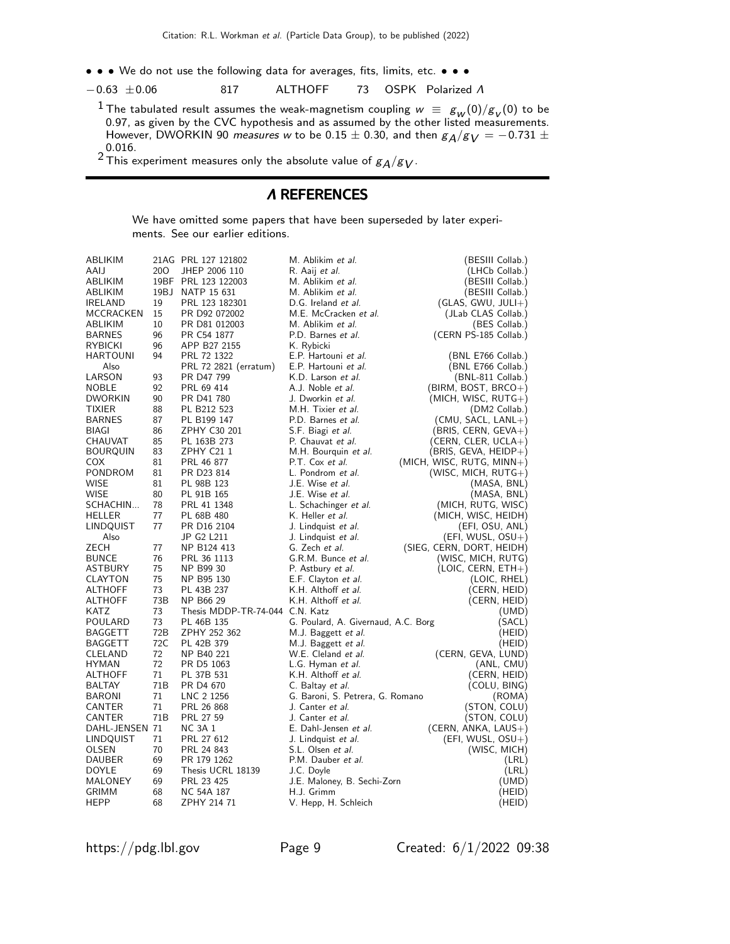- • We do not use the following data for averages, fits, limits, etc. • •
- −0.63 ±0.06 817 ALTHOFF 73 OSPK Polarized Λ
	- <sup>1</sup> The tabulated result assumes the weak-magnetism coupling  $w = g_w(0)/g_v(0)$  to be 0.97, as given by the CVC hypothesis and as assumed by the other listed measurements. However, DWORKIN 90 *measures w* to be 0.15  $\pm$  0.30, and then  $g_A/g_V = -0.731 \pm 0.005$ 0.016.

<sup>2</sup> This experiment measures only the absolute value of  $g_A/g_V$ .

#### Λ REFERENCES

We have omitted some papers that have been superseded by later experiments. See our earlier editions.

| ABLIKIM          |                 | 21AG PRL 127 121802             | M. Ablikim et al.                   | (BESIII Collab.)          |
|------------------|-----------------|---------------------------------|-------------------------------------|---------------------------|
| AAIJ             | 20O             | JHEP 2006 110                   | R. Aaij <i>et al.</i>               | (LHCb Collab.)            |
| ABLIKIM          |                 | 19BF PRL 123 122003             | M. Ablikim <i>et al.</i>            | (BESIII Collab.)          |
| ABLIKIM          | 19BJ            | NATP 15 631                     | M. Ablikim et al.                   | (BESIII Collab.)          |
| <b>IRELAND</b>   | 19              | PRL 123 182301                  | D.G. Ireland et al.                 | $(GLAS, GWU, JULI+)$      |
| MCCRACKEN        | 15              | PR D92 072002                   | M.E. McCracken et al.               | (JLab CLAS Collab.)       |
| ABLIKIM          | 10              | PR D81 012003                   | M. Ablikim et al.                   | (BES Collab.)             |
| <b>BARNES</b>    | 96              | PR C54 1877                     | P.D. Barnes et al.                  | (CERN PS-185 Collab.)     |
| RYBICKI          | 96              | APP B27 2155                    | K. Rybicki                          |                           |
| <b>HARTOUNI</b>  | 94              | PRL 72 1322                     | E.P. Hartouni et al.                | (BNL E766 Collab.)        |
| Also             |                 | PRL 72 2821 (erratum)           | E.P. Hartouni et al.                | (BNL E766 Collab.)        |
| LARSON           | 93              | PR D47 799                      | K.D. Larson et al.                  | $(BNL-811$ Collab.)       |
| <b>NOBLE</b>     | 92              | PRL 69 414                      | A.J. Noble et al.                   | $(BIRM, BOST, BRCO+)$     |
| <b>DWORKIN</b>   | 90              | PR D41 780                      | J. Dworkin et al.                   | $(MICH, WISC, RUTG+)$     |
| TIXIER           | 88              | PL B212 523                     | M.H. Tixier et al.                  | (DM2 Collab.)             |
| <b>BARNES</b>    | 87              | PL B199 147                     | P.D. Barnes et al.                  | (CMU, SACL, LANL+)        |
| <b>BIAGI</b>     | 86              | ZPHY C30 201                    | S.F. Biagi et al.                   | $(BRIS, CERN, GEVA+)$     |
| CHAUVAT          | 85              | PL 163B 273                     | P. Chauvat et al.                   | (CERN, CLER, UCLA+)       |
| <b>BOURQUIN</b>  | 83              | ZPHY C21 1                      | M.H. Bourquin et al.                | (BRIS, GEVA, HEIDP+)      |
| COX              | 81              | PRL 46 877                      | P.T. Cox et al.                     | (MICH, WISC, RUTG, MINN+) |
| PONDROM          | 81              | PR D23 814                      | L. Pondrom et al.                   | (WISC, MICH, $RUTG+$ )    |
| WISE             | 81              | PL 98B 123                      | J.E. Wise et al.                    | (MASA, BNL)               |
| WISE             | 80              | PL 91B 165                      | J.E. Wise et al.                    | (MASA, BNL)               |
| SCHACHIN         | 78              | PRL 41 1348                     | L. Schachinger et al.               | (MICH, RUTG, WISC)        |
| <b>HELLER</b>    | 77              | PL 68B 480                      | K. Heller et al.                    | (MICH, WISC, HEIDH)       |
| LINDQUIST        | 77              | PR D <sub>16</sub> 2104         | J. Lindquist et al.                 | (EFI, OSU, ANL)           |
| Also             |                 | JP G2 L211                      | J. Lindquist <i>et al.</i>          | (EFI, WUSL, OSU+)         |
| ZECH             | 77              | NP B124 413                     | G. Zech et al.                      | (SIEG, CERN, DORT, HEIDH) |
| <b>BUNCE</b>     | 76              | PRL 36 1113                     | G.R.M. Bunce et al.                 | (WISC, MICH, RUTG)        |
| <b>ASTBURY</b>   | 75              | NP B99 30                       | P. Astbury et al.                   | $(LOIC, CERN, ETH+)$      |
| CLAYTON          | 75              | NP B95 130                      | E.F. Clayton et al.                 | (LOIC, RHEL)              |
| <b>ALTHOFF</b>   | 73              | PL 43B 237                      | K.H. Althoff et al.                 | (CERN, HEID)              |
| <b>ALTHOFF</b>   | 73B             | NP B66 29                       | K.H. Althoff et al.                 | (CERN, HEID)              |
| KATZ             | 73              | Thesis MDDP-TR-74-044 C.N. Katz |                                     | (UMD)                     |
| POULARD          | 73              | PL 46B 135                      | G. Poulard, A. Givernaud, A.C. Borg | (SACL)                    |
| BAGGETT          | 72B             | ZPHY 252 362                    | M.J. Baggett et al.                 | (HEID)                    |
| <b>BAGGETT</b>   | 72C             | PL 42B 379                      | M.J. Baggett et al.                 | (HEID)                    |
| CLELAND          | 72              | NP B40 221                      | W.E. Cleland et al.                 | (CERN, GEVA, LUND)        |
| <b>HYMAN</b>     | 72              | PR D5 1063                      | L.G. Hyman et al.                   | (ANL, CMU)                |
| <b>ALTHOFF</b>   | 71              | PL 37B 531                      | K.H. Althoff et al.                 | (CERN, HEID)              |
| BALTAY           | 71B             | PR D4 670                       | C. Baltay <i>et al.</i>             | (COLU, BING)              |
| BARONI           | 71              | LNC 2 1256                      | G. Baroni, S. Petrera, G. Romano    | (ROMA)                    |
| CANTER           | 71              | PRL 26 868                      | J. Canter et al.                    | (STON, COLU)              |
| CANTER           | 71 <sub>B</sub> | PRL 27 59                       | J. Canter et al.                    | (STON, COLU)              |
| DAHL-JENSEN 71   |                 | <b>NC 3A 1</b>                  | E. Dahl-Jensen et al.               | (CERN, ANKA, LAUS+)       |
| <b>LINDQUIST</b> | 71              | PRL 27 612                      | J. Lindquist et al.                 | (EFI, WUSL, OSU+)         |
| OLSEN            | 70              | PRL 24 843                      | S.L. Olsen et al.                   | (WISC, MICH)              |
| <b>DAUBER</b>    | 69              | PR 179 1262                     | P.M. Dauber et al.                  | (LRL)                     |
| <b>DOYLE</b>     | 69              | Thesis UCRL 18139               | J.C. Doyle                          | (LRL)                     |
| MALONEY          | 69              | PRL 23 425                      | J.E. Maloney, B. Sechi-Zorn         | (UMD)                     |
| GRIMM            | 68              | NC 54A 187                      | H.J. Grimm                          | (HEID)                    |
| <b>HEPP</b>      | 68              | ZPHY 214 71                     | V. Hepp, H. Schleich                | (HEID)                    |